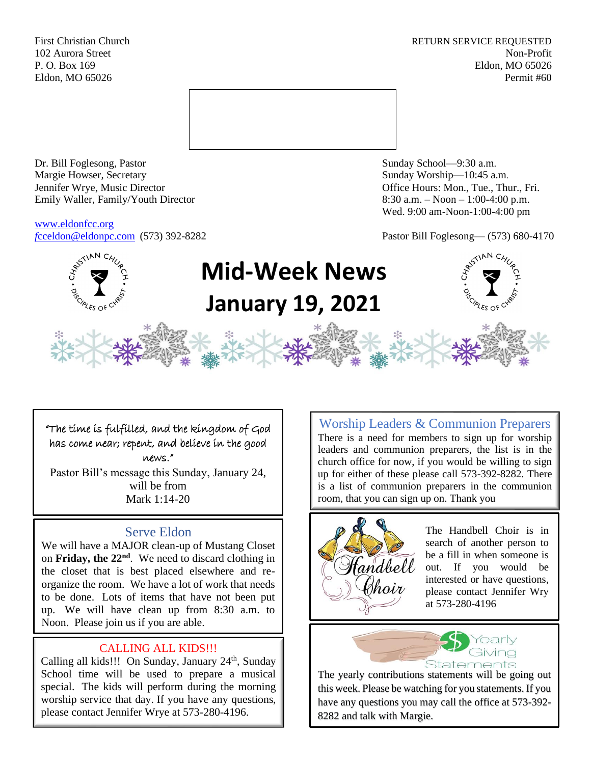First Christian Church **RETURN SERVICE REQUESTED** 102 Aurora Street Non-Profit P. O. Box 169 Eldon, MO 65026 Eldon, MO 65026 Permit #60



Dr. Bill Foglesong, Pastor Sunday School—9:30 a.m. Margie Howser, Secretary Sunday Worship—10:45 a.m. Jennifer Wrye, Music Director Office Hours: Mon., Tue., Thur., Fri. Emily Waller, Family/Youth Director 8:30 a.m. – Noon – 1:00-4:00 p.m.

[www.eldonfcc.org](http://www.eldonfcc.org/)

Wed. 9:00 am-Noon-1:00-4:00 pm

*f*[cceldon@eldonpc.com](mailto:fcceldon@eldonpc.com) (573) 392-8282 Pastor Bill Foglesong— (573) 680-4170



# **Mid-Week News January 19, 2021**

"The time is fulfilled, and the kingdom of God has come near; repent, and believe in the good news."

Pastor Bill's message this Sunday, January 24, will be from Mark 1:14-20

# Serve Eldon

We will have a MAJOR clean-up of Mustang Closet on **Friday, the 22nd** . We need to discard clothing in the closet that is best placed elsewhere and reorganize the room. We have a lot of work that needs to be done. Lots of items that have not been put up. We will have clean up from 8:30 a.m. to Noon. Please join us if you are able.

# CALLING ALL KIDS!!!

Calling all kids!!! On Sunday, January  $24<sup>th</sup>$ , Sunday School time will be used to prepare a musical special. The kids will perform during the morning worship service that day. If you have any questions, please contact Jennifer Wrye at 573-280-4196.

Worship Leaders & Communion Preparers There is a need for members to sign up for worship leaders and communion preparers, the list is in the church office for now, if you would be willing to sign up for either of these please call 573-392-8282. There is a list of communion preparers in the communion room, that you can sign up on. Thank you



The Handbell Choir is in search of another person to be a fill in when someone is out. If you would be interested or have questions, please contact Jennifer Wry at 573-280-4196



The yearly contributions statements will be going out this week. Please be watching for you statements. If you have any questions you may call the office at 573-392- 8282 and talk with Margie.